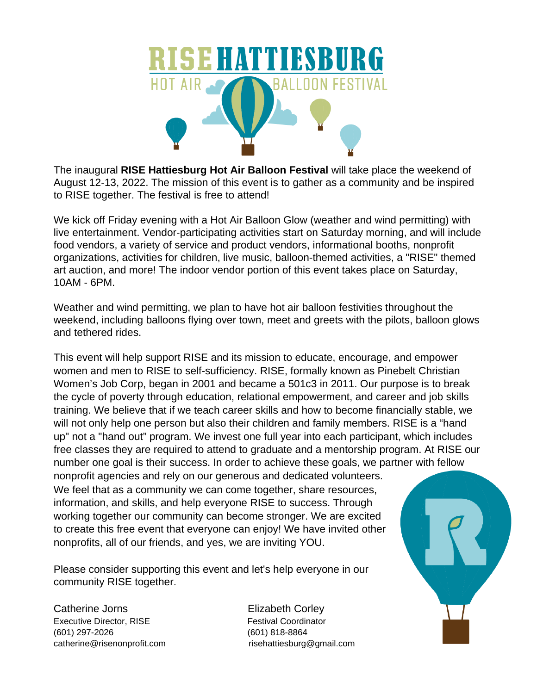

The inaugural **RISE Hattiesburg Hot Air Balloon Festival** will take place the weekend of August 12-13, 2022. The mission of this event is to gather as a community and be inspired to RISE together. The festival is free to attend!

We kick off Friday evening with a Hot Air Balloon Glow (weather and wind permitting) with live entertainment. Vendor-participating activities start on Saturday morning, and will include food vendors, a variety of service and product vendors, informational booths, nonprofit organizations, activities for children, live music, balloon-themed activities, a "RISE" themed art auction, and more! The indoor vendor portion of this event takes place on Saturday, 10AM - 6PM.

Weather and wind permitting, we plan to have hot air balloon festivities throughout the weekend, including balloons flying over town, meet and greets with the pilots, balloon glows and tethered rides.

This event will help support RISE and its mission to educate, encourage, and empower women and men to RISE to self-sufficiency. RISE, formally known as Pinebelt Christian Women's Job Corp, began in 2001 and became a 501c3 in 2011. Our purpose is to break the cycle of poverty through education, relational empowerment, and career and job skills training. We believe that if we teach career skills and how to become financially stable, we will not only help one person but also their children and family members. RISE is a "hand up" not a "hand out" program. We invest one full year into each participant, which includes free classes they are required to attend to graduate and a mentorship program. At RISE our number one goal is their success. In order to achieve these goals, we partner with fellow nonprofit agencies and rely on our generous and dedicated volunteers.

We feel that as a community we can come together, share resources, information, and skills, and help everyone RISE to success. Through working together our community can become stronger. We are excited to create this free event that everyone can enjoy! We have invited other nonprofits, all of our friends, and yes, we are inviting YOU.

Please consider supporting this event and let's help everyone in our community RISE together.

Catherine Jorns **Elizabeth Corley** Executive Director, RISE Festival Coordinator (601) 297-2026 (601) 818-8864 catherine@risenonprofit.com risehattiesburg@gmail.com

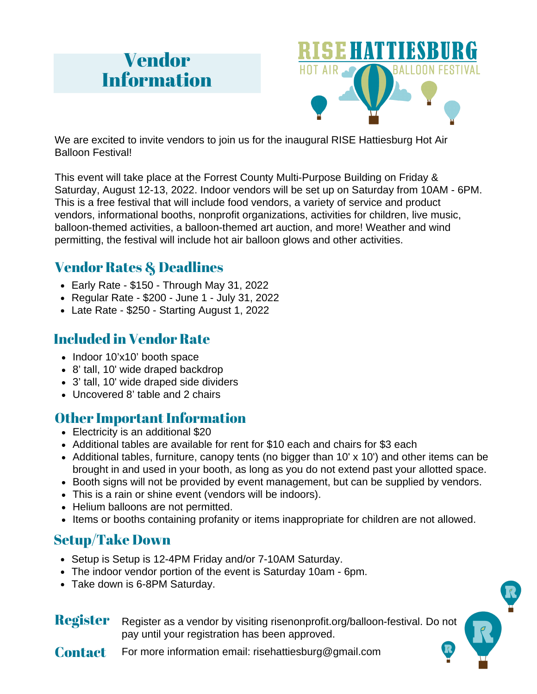## Vendor Information



We are excited to invite vendors to join us for the inaugural RISE Hattiesburg Hot Air Balloon Festival!

This event will take place at the Forrest County Multi-Purpose Building on Friday & Saturday, August 12-13, 2022. Indoor vendors will be set up on Saturday from 10AM - 6PM. This is a free festival that will include food vendors, a variety of service and product vendors, informational booths, nonprofit organizations, activities for children, live music, balloon-themed activities, a balloon-themed art auction, and more! Weather and wind permitting, the festival will include hot air balloon glows and other activities.

## Vendor Rates & Deadlines

- $\bullet$  Early Rate \$150 Through May 31, 2022
- Regular Rate \$200 June 1 July 31, 2022
- Late Rate \$250 Starting August 1, 2022

## Included in Vendor Rate

- Indoor 10'x10' booth space
- 8' tall, 10' wide draped backdrop
- 3' tall, 10' wide draped side dividers
- Uncovered 8' table and 2 chairs

#### **Other Important Information**

- $\bullet$  Electricity is an additional \$20
- Additional tables are available for rent for \$10 each and chairs for \$3 each
- Additional tables, furniture, canopy tents (no bigger than 10' x 10') and other items can be brought in and used in your booth, as long as you do not extend past your allotted space.
- Booth signs will not be provided by event management, but can be supplied by vendors.
- This is a rain or shine event (vendors will be indoors).
- Helium balloons are not permitted.
- Items or booths containing profanity or items inappropriate for children are not allowed.

### Setup/Take Down

- Setup is Setup is 12-4PM Friday and/or 7-10AM Saturday.
- The indoor vendor portion of the event is Saturday 10am 6pm.
- Take down is 6-8PM Saturday.

**Register** Register as a vendor by visiting risenonprofit.org/balloon-festival. Do not pay until your registration has been approved.